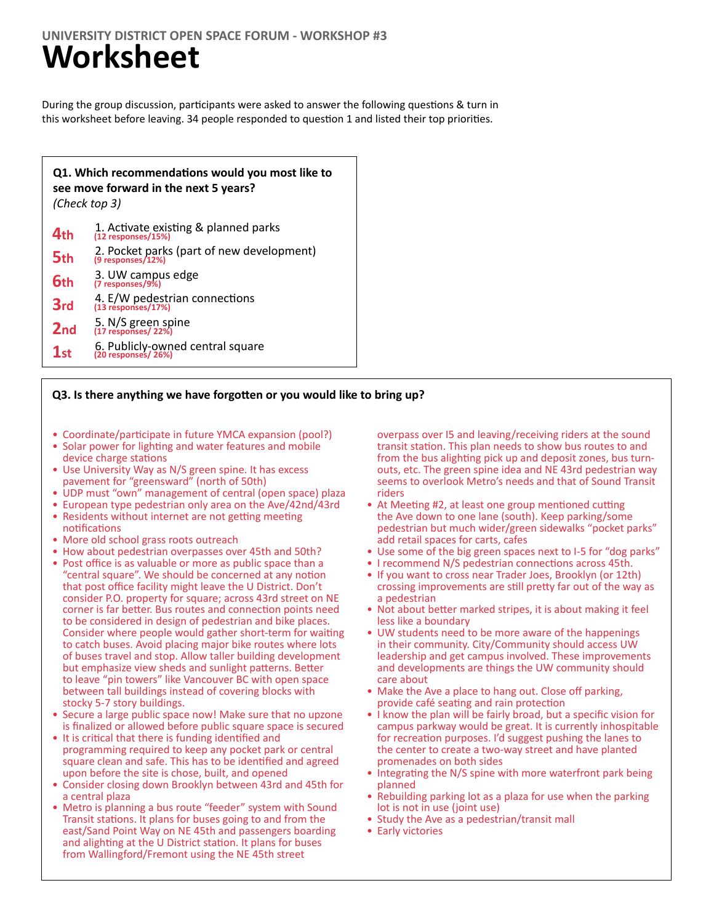### **UNIVERSITY DISTRICT OPEN SPACE FORUM - WORKSHOP #3**

## **Worksheet**

During the group discussion, participants were asked to answer the following questions & turn in this worksheet before leaving. 34 people responded to question 1 and listed their top priorities.

| Q1. Which recommendations would you most like to<br>see move forward in the next 5 years?<br>(Check top 3) |                                                                |  |  |  |  |
|------------------------------------------------------------------------------------------------------------|----------------------------------------------------------------|--|--|--|--|
| 4 <sub>th</sub>                                                                                            | 1. Activate existing & planned parks<br>(12 responses/15%)     |  |  |  |  |
| 5 <sub>th</sub>                                                                                            | 2. Pocket parks (part of new development)<br>(9 responses/12%) |  |  |  |  |
| 6th                                                                                                        | 3. UW campus edge<br>(7 responses/9%)                          |  |  |  |  |
| 3rd                                                                                                        | 4. E/W pedestrian connections<br>(13 responses/17%)            |  |  |  |  |
| 2 <sub>nd</sub>                                                                                            | 5. N/S green spine<br>(17 responses/ 22%)                      |  |  |  |  |
| 1 <sub>ct</sub>                                                                                            | 6. Publicly-owned central square<br>(20 responses/ 26%)        |  |  |  |  |

### **Q3. Is there anything we have forgotten or you would like to bring up?**

- Coordinate/participate in future YMCA expansion (pool?)
- Solar power for lighting and water features and mobile device charge stations
- Use University Way as N/S green spine. It has excess pavement for "greensward" (north of 50th)
- UDP must "own" management of central (open space) plaza
- European type pedestrian only area on the Ave/42nd/43rd
- Residents without internet are not getting meeting notifications
- More old school grass roots outreach
- How about pedestrian overpasses over 45th and 50th?
- Post office is as valuable or more as public space than a "central square". We should be concerned at any notion that post office facility might leave the U District. Don't consider P.O. property for square; across 43rd street on NE corner is far better. Bus routes and connection points need to be considered in design of pedestrian and bike places. Consider where people would gather short-term for waiting to catch buses. Avoid placing major bike routes where lots of buses travel and stop. Allow taller building development but emphasize view sheds and sunlight patterns. Better to leave "pin towers" like Vancouver BC with open space between tall buildings instead of covering blocks with stocky 5-7 story buildings.
- Secure a large public space now! Make sure that no upzone is finalized or allowed before public square space is secured
- It is critical that there is funding identified and programming required to keep any pocket park or central square clean and safe. This has to be identified and agreed upon before the site is chose, built, and opened
- Consider closing down Brooklyn between 43rd and 45th for a central plaza
- Metro is planning a bus route "feeder" system with Sound Transit stations. It plans for buses going to and from the east/Sand Point Way on NE 45th and passengers boarding and alighting at the U District station. It plans for buses from Wallingford/Fremont using the NE 45th street

overpass over I5 and leaving/receiving riders at the sound transit station. This plan needs to show bus routes to and from the bus alighting pick up and deposit zones, bus turnouts, etc. The green spine idea and NE 43rd pedestrian way seems to overlook Metro's needs and that of Sound Transit riders

- At Meeting #2, at least one group mentioned cutting the Ave down to one lane (south). Keep parking/some pedestrian but much wider/green sidewalks "pocket parks" add retail spaces for carts, cafes
- Use some of the big green spaces next to I-5 for "dog parks"
- I recommend N/S pedestrian connections across 45th.
- If you want to cross near Trader Joes, Brooklyn (or 12th) crossing improvements are still pretty far out of the way as a pedestrian
- Not about better marked stripes, it is about making it feel less like a boundary
- UW students need to be more aware of the happenings in their community. City/Community should access UW leadership and get campus involved. These improvements and developments are things the UW community should care about
- Make the Ave a place to hang out. Close off parking, provide café seating and rain protection
- I know the plan will be fairly broad, but a specific vision for campus parkway would be great. It is currently inhospitable for recreation purposes. I'd suggest pushing the lanes to the center to create a two-way street and have planted promenades on both sides
- Integrating the N/S spine with more waterfront park being planned
- Rebuilding parking lot as a plaza for use when the parking lot is not in use (joint use)
- Study the Ave as a pedestrian/transit mall
- Early victories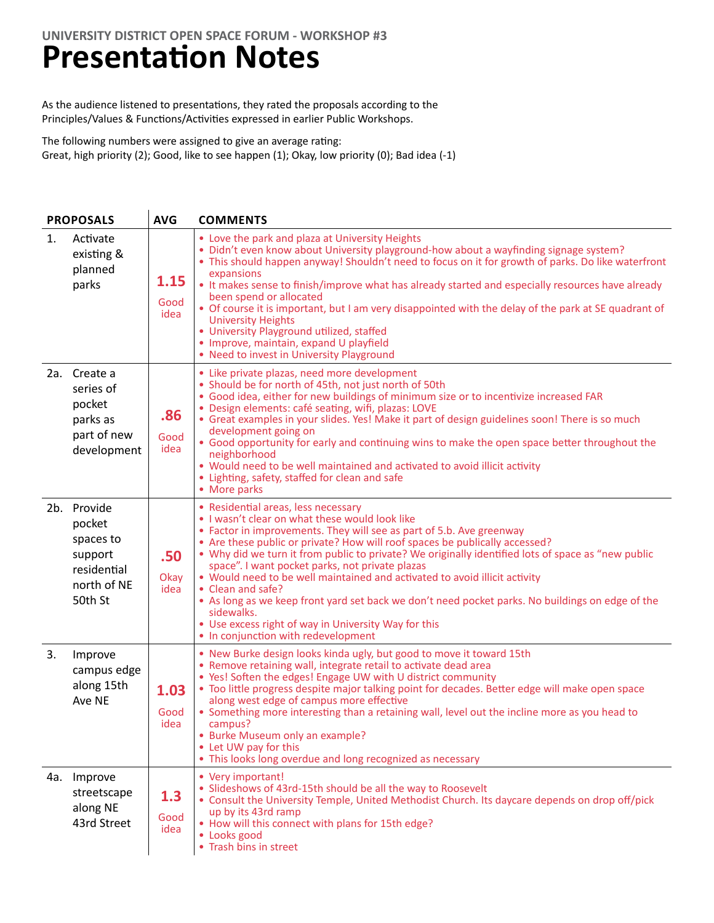### **Presentation Notes**

As the audience listened to presentations, they rated the proposals according to the Principles/Values & Functions/Activities expressed in earlier Public Workshops.

The following numbers were assigned to give an average rating: Great, high priority (2); Good, like to see happen (1); Okay, low priority (0); Bad idea (-1)

| <b>PROPOSALS</b> |                                                                                        | <b>AVG</b>           | <b>COMMENTS</b>                                                                                                                                                                                                                                                                                                                                                                                                                                                                                                                                                                                                                                                                                                           |
|------------------|----------------------------------------------------------------------------------------|----------------------|---------------------------------------------------------------------------------------------------------------------------------------------------------------------------------------------------------------------------------------------------------------------------------------------------------------------------------------------------------------------------------------------------------------------------------------------------------------------------------------------------------------------------------------------------------------------------------------------------------------------------------------------------------------------------------------------------------------------------|
| 1.               | Activate<br>existing &<br>planned<br>parks                                             | 1.15<br>Good<br>idea | • Love the park and plaza at University Heights<br>. Didn't even know about University playground-how about a wayfinding signage system?<br>• This should happen anyway! Shouldn't need to focus on it for growth of parks. Do like waterfront<br>expansions<br>• It makes sense to finish/improve what has already started and especially resources have already<br>been spend or allocated<br>• Of course it is important, but I am very disappointed with the delay of the park at SE quadrant of<br><b>University Heights</b><br>• University Playground utilized, staffed<br>• Improve, maintain, expand U playfield<br>• Need to invest in University Playground                                                    |
|                  | 2a. Create a<br>series of<br>pocket<br>parks as<br>part of new<br>development          | .86<br>Good<br>idea  | • Like private plazas, need more development<br>• Should be for north of 45th, not just north of 50th<br>• Good idea, either for new buildings of minimum size or to incentivize increased FAR<br>· Design elements: café seating, wifi, plazas: LOVE<br>• Great examples in your slides. Yes! Make it part of design guidelines soon! There is so much<br>development going on<br>• Good opportunity for early and continuing wins to make the open space better throughout the<br>neighborhood<br>• Would need to be well maintained and activated to avoid illicit activity<br>• Lighting, safety, staffed for clean and safe<br>• More parks                                                                          |
|                  | 2b. Provide<br>pocket<br>spaces to<br>support<br>residential<br>north of NE<br>50th St | .50<br>Okay<br>idea  | • Residential areas, less necessary<br>. I wasn't clear on what these would look like<br>• Factor in improvements. They will see as part of 5.b. Ave greenway<br>• Are these public or private? How will roof spaces be publically accessed?<br>. Why did we turn it from public to private? We originally identified lots of space as "new public<br>space". I want pocket parks, not private plazas<br>• Would need to be well maintained and activated to avoid illicit activity<br>• Clean and safe?<br>• As long as we keep front yard set back we don't need pocket parks. No buildings on edge of the<br>sidewalks.<br>• Use excess right of way in University Way for this<br>• In conjunction with redevelopment |
| 3.               | Improve<br>campus edge<br>along 15th<br>Ave NE                                         | 1.03<br>Good<br>idea | . New Burke design looks kinda ugly, but good to move it toward 15th<br>• Remove retaining wall, integrate retail to activate dead area<br>• Yes! Soften the edges! Engage UW with U district community<br>• Too little progress despite major talking point for decades. Better edge will make open space<br>along west edge of campus more effective<br>• Something more interesting than a retaining wall, level out the incline more as you head to<br>campus?<br>• Burke Museum only an example?<br>• Let UW pay for this<br>• This looks long overdue and long recognized as necessary                                                                                                                              |
|                  | 4a. Improve<br>streetscape<br>along NE<br>43rd Street                                  | 1.3<br>Good<br>idea  | • Very important!<br>• Slideshows of 43rd-15th should be all the way to Roosevelt<br>• Consult the University Temple, United Methodist Church. Its daycare depends on drop off/pick<br>up by its 43rd ramp<br>• How will this connect with plans for 15th edge?<br>• Looks good<br>• Trash bins in street                                                                                                                                                                                                                                                                                                                                                                                                                 |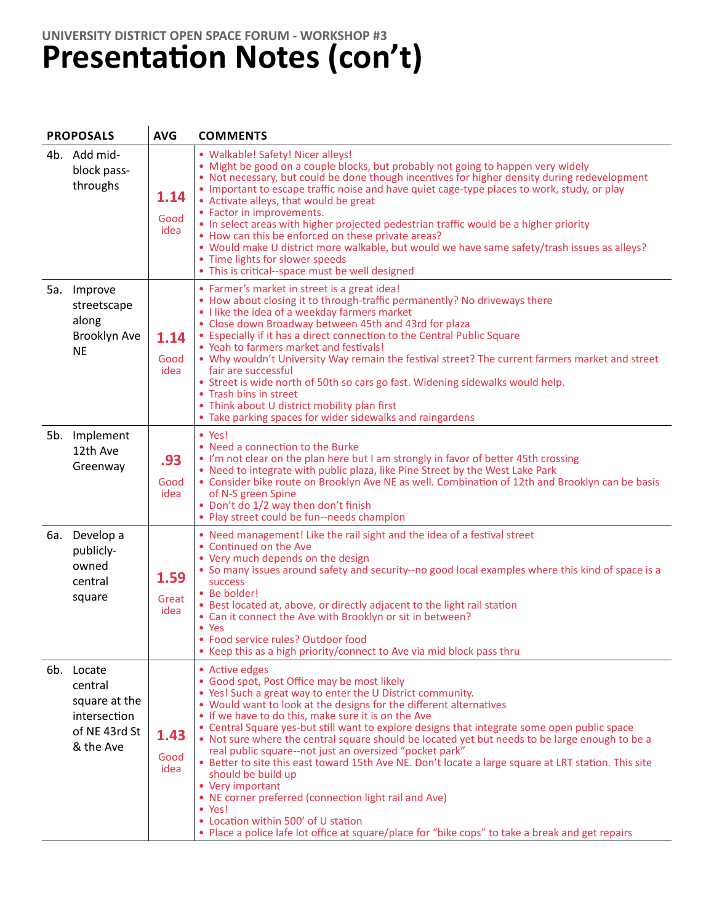### **UNIVERSITY DISTRICT OPEN SPACE FORUM - WORKSHOP #3 Presentation Notes (con't)**

| <b>PROPOSALS</b> |                                                                                      | <b>AVG</b>            | <b>COMMENTS</b>                                                                                                                                                                                                                                                                                                                                                                                                                                                                                                                                                                                                                                                                                                                                                                                                                                                                       |
|------------------|--------------------------------------------------------------------------------------|-----------------------|---------------------------------------------------------------------------------------------------------------------------------------------------------------------------------------------------------------------------------------------------------------------------------------------------------------------------------------------------------------------------------------------------------------------------------------------------------------------------------------------------------------------------------------------------------------------------------------------------------------------------------------------------------------------------------------------------------------------------------------------------------------------------------------------------------------------------------------------------------------------------------------|
|                  | 4b. Add mid-<br>block pass-<br>throughs                                              | 1.14<br>Good<br>idea  | • Walkable! Safety! Nicer alleys!<br>• Might be good on a couple blocks, but probably not going to happen very widely<br>• Not necessary, but could be done though incentives for higher density during redevelopment<br>• Important to escape traffic noise and have quiet cage-type places to work, study, or play<br>• Activate alleys, that would be great<br>• Factor in improvements.<br>• In select areas with higher projected pedestrian traffic would be a higher priority<br>• How can this be enforced on these private areas?<br>. Would make U district more walkable, but would we have same safety/trash issues as alleys?<br>• Time lights for slower speeds<br>• This is critical--space must be well designed                                                                                                                                                      |
|                  | 5a. Improve<br>streetscape<br>along<br>Brooklyn Ave<br><b>NE</b>                     | 1.14<br>Good<br>idea  | • Farmer's market in street is a great idea!<br>• How about closing it to through-traffic permanently? No driveways there<br>• I like the idea of a weekday farmers market<br>• Close down Broadway between 45th and 43rd for plaza<br>• Especially if it has a direct connection to the Central Public Square<br>• Yeah to farmers market and festivals!<br>. Why wouldn't University Way remain the festival street? The current farmers market and street<br>fair are successful<br>• Street is wide north of 50th so cars go fast. Widening sidewalks would help.<br>• Trash bins in street<br>• Think about U district mobility plan first<br>• Take parking spaces for wider sidewalks and raingardens                                                                                                                                                                          |
|                  | 5b. Implement<br>12th Ave<br>Greenway                                                | .93<br>Good<br>idea   | $\bullet$ Yes!<br>• Need a connection to the Burke<br>• I'm not clear on the plan here but I am strongly in favor of better 45th crossing<br>. Need to integrate with public plaza, like Pine Street by the West Lake Park<br>• Consider bike route on Brooklyn Ave NE as well. Combination of 12th and Brooklyn can be basis<br>of N-S green Spine<br>• Don't do 1/2 way then don't finish<br>• Play street could be fun--needs champion                                                                                                                                                                                                                                                                                                                                                                                                                                             |
|                  | 6a. Develop a<br>publicly-<br>owned<br>central<br>square                             | 1.59<br>Great<br>idea | • Need management! Like the rail sight and the idea of a festival street<br>• Continued on the Ave<br>• Very much depends on the design<br>. So many issues around safety and security--no good local examples where this kind of space is a<br><b>SUCCESS</b><br>• Be bolder!<br>• Best located at, above, or directly adjacent to the light rail station<br>• Can it connect the Ave with Brooklyn or sit in between?<br>• Yes<br>• Food service rules? Outdoor food<br>• Keep this as a high priority/connect to Ave via mid block pass thru                                                                                                                                                                                                                                                                                                                                       |
|                  | 6b. Locate<br>central<br>square at the<br>intersection<br>of NE 43rd St<br>& the Ave | 1.43<br>Good<br>idea  | • Active edges<br>• Good spot, Post Office may be most likely<br>• Yes! Such a great way to enter the U District community.<br>• Would want to look at the designs for the different alternatives<br>. If we have to do this, make sure it is on the Ave<br>• Central Square yes-but still want to explore designs that integrate some open public space<br>. Not sure where the central square should be located yet but needs to be large enough to be a<br>real public square--not just an oversized "pocket park"<br>• Better to site this east toward 15th Ave NE. Don't locate a large square at LRT station. This site<br>should be build up<br>• Very important<br>• NE corner preferred (connection light rail and Ave)<br>• Yes!<br>• Location within 500' of U station<br>• Place a police lafe lot office at square/place for "bike cops" to take a break and get repairs |